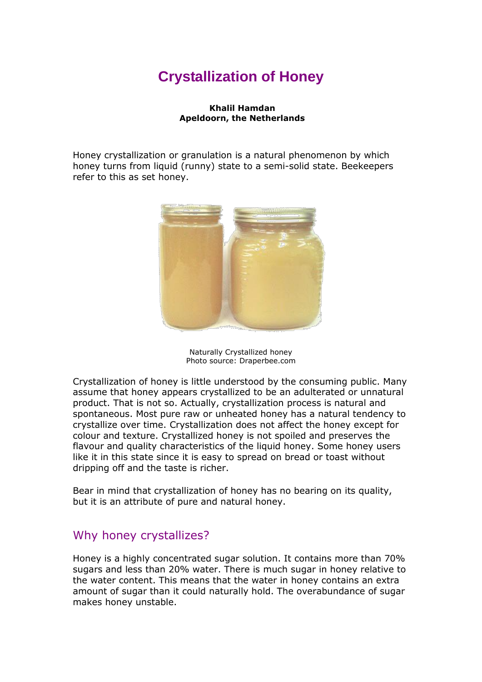# **Crystallization of Honey**

### **Khalil Hamdan Apeldoorn, the Netherlands**

Honey crystallization or granulation is a natural phenomenon by which honey turns from liquid (runny) state to a semi-solid state. Beekeepers refer to this as set honey.



Naturally Crystallized honey Photo source: Draperbee.com

Crystallization of honey is little understood by the consuming public. Many assume that honey appears crystallized to be an adulterated or unnatural product. That is not so. Actually, crystallization process is natural and spontaneous. Most pure raw or unheated honey has a natural tendency to crystallize over time. Crystallization does not affect the honey except for colour and texture. Crystallized honey is not spoiled and preserves the flavour and quality characteristics of the liquid honey. Some honey users like it in this state since it is easy to spread on bread or toast without dripping off and the taste is richer.

Bear in mind that crystallization of honey has no bearing on its quality, but it is an attribute of pure and natural honey.

## Why honey crystallizes?

Honey is a highly concentrated sugar solution. It contains more than 70% sugars and less than 20% water. There is much sugar in honey relative to the water content. This means that the water in honey contains an extra amount of sugar than it could naturally hold. The overabundance of sugar makes honey unstable.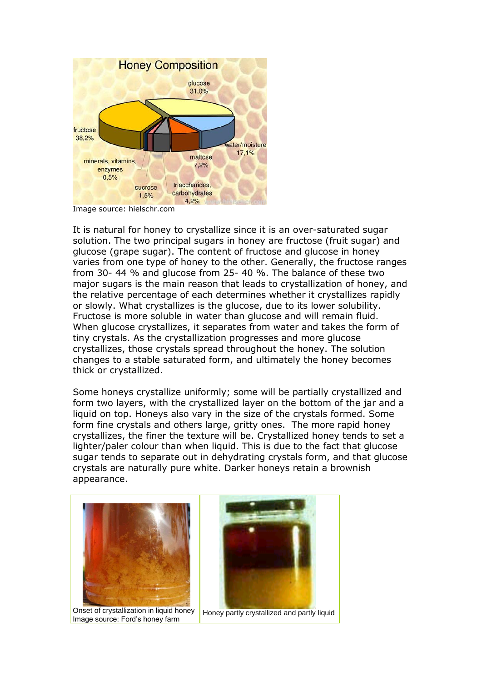

Image source: hielschr.com

It is natural for honey to crystallize since it is an over-saturated sugar solution. The two principal sugars in honey are fructose (fruit sugar) and glucose (grape sugar). The content of fructose and glucose in honey varies from one type of honey to the other. Generally, the fructose ranges from 30- 44 % and glucose from 25- 40 %. The balance of these two major sugars is the main reason that leads to crystallization of honey, and the relative percentage of each determines whether it crystallizes rapidly or slowly. What crystallizes is the glucose, due to its lower solubility. Fructose is more soluble in water than glucose and will remain fluid. When glucose crystallizes, it separates from water and takes the form of tiny crystals. As the crystallization progresses and more glucose crystallizes, those crystals spread throughout the honey. The solution changes to a stable saturated form, and ultimately the honey becomes thick or crystallized.

Some honeys crystallize uniformly; some will be partially crystallized and form two layers, with the crystallized layer on the bottom of the jar and a liquid on top. Honeys also vary in the size of the crystals formed. Some form fine crystals and others large, gritty ones. The more rapid honey crystallizes, the finer the texture will be. Crystallized honey tends to set a lighter/paler colour than when liquid. This is due to the fact that glucose sugar tends to separate out in dehydrating crystals form, and that glucose crystals are naturally pure white. Darker honeys retain a brownish appearance.



Onset of crystallization in liquid honey Image source: Ford's honey farm



Honey partly crystallized and partly liquid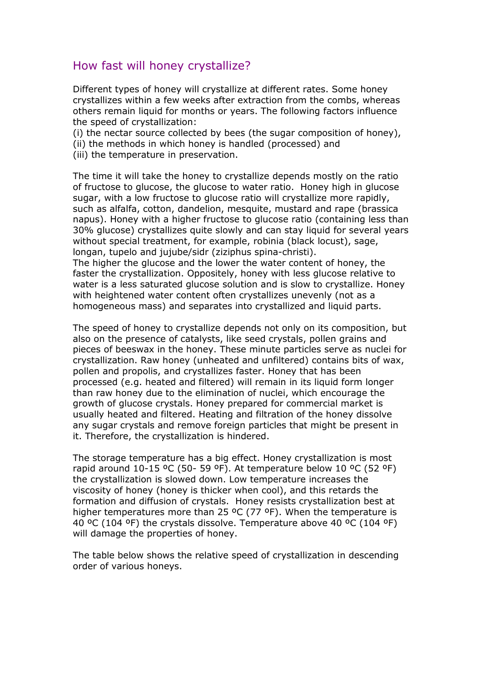# How fast will honey crystallize?

Different types of honey will crystallize at different rates. Some honey crystallizes within a few weeks after extraction from the combs, whereas others remain liquid for months or years. The following factors influence the speed of crystallization:

(i) the nectar source collected by bees (the sugar composition of honey),

- (ii) the methods in which honey is handled (processed) and
- (iii) the temperature in preservation.

The time it will take the honey to crystallize depends mostly on the ratio of fructose to glucose, the glucose to water ratio. Honey high in glucose sugar, with a low fructose to glucose ratio will crystallize more rapidly, such as alfalfa, cotton, dandelion, mesquite, mustard and rape (brassica napus). Honey with a higher fructose to glucose ratio (containing less than 30% glucose) crystallizes quite slowly and can stay liquid for several years without special treatment, for example, robinia (black locust), sage, longan, tupelo and jujube/sidr (ziziphus spina-christi).

The higher the glucose and the lower the water content of honey, the faster the crystallization. Oppositely, honey with less glucose relative to water is a less saturated glucose solution and is slow to crystallize. Honey with heightened water content often crystallizes unevenly (not as a homogeneous mass) and separates into crystallized and liquid parts.

The speed of honey to crystallize depends not only on its composition, but also on the presence of catalysts, like seed crystals, pollen grains and pieces of beeswax in the honey. These minute particles serve as nuclei for crystallization. Raw honey (unheated and unfiltered) contains bits of wax, pollen and propolis, and crystallizes faster. Honey that has been processed (e.g. heated and filtered) will remain in its liquid form longer than raw honey due to the elimination of nuclei, which encourage the growth of glucose crystals. Honey prepared for commercial market is usually heated and filtered. Heating and filtration of the honey dissolve any sugar crystals and remove foreign particles that might be present in it. Therefore, the crystallization is hindered.

The storage temperature has a big effect. Honey crystallization is most rapid around  $10-15$  °C (50- 59 °F). At temperature below  $10$  °C (52 °F) the crystallization is slowed down. Low temperature increases the viscosity of honey (honey is thicker when cool), and this retards the formation and diffusion of crystals. Honey resists crystallization best at higher temperatures more than 25 ºC (77 ºF). When the temperature is 40 ºC (104 ºF) the crystals dissolve. Temperature above 40 ºC (104 ºF) will damage the properties of honey.

The table below shows the relative speed of crystallization in descending order of various honeys.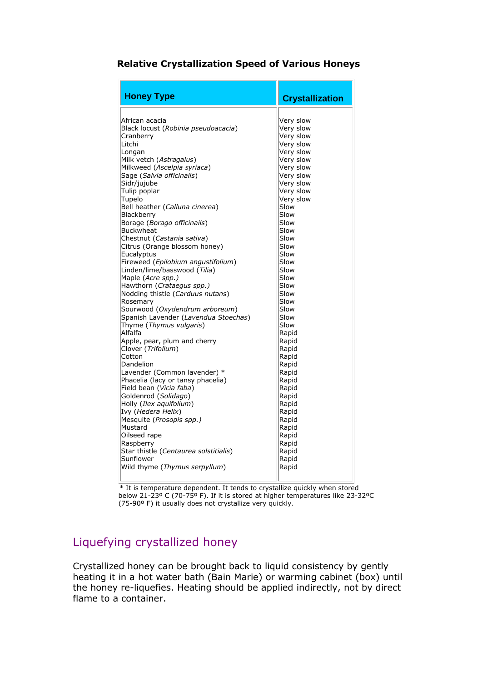### **Relative Crystallization Speed of Various Honeys**

| <b>Honey Type</b>                                     | <b>Crystallization</b> |
|-------------------------------------------------------|------------------------|
|                                                       |                        |
| African acacia<br>Black locust (Robinia pseudoacacia) | Very slow<br>Very slow |
| Cranberrv                                             | Very slow              |
| Litchi                                                | Very slow              |
| Longan                                                | Very slow              |
| Milk vetch (Astragalus)                               | Very slow              |
| Milkweed (Ascelpia syriaca)                           | Very slow              |
| Sage (Salvia officinalis)                             | Very slow              |
| Sidr/jujube                                           | Very slow              |
| Tulip poplar                                          | Very slow              |
| Tupelo                                                | Very slow              |
| Bell heather ( <i>Calluna cinerea</i> )               | Slow                   |
| Blackberry                                            | Slow                   |
| Borage (Borago officinails)                           | Slow                   |
| Buckwheat                                             | Slow                   |
| Chestnut (Castania sativa)                            | Slow                   |
| Citrus (Orange blossom honey)                         | Slow                   |
| Eucalyptus                                            | Slow                   |
| Fireweed (Epilobium angustifolium)                    | Slow                   |
| Linden/lime/basswood (Tilia)                          | Slow                   |
| Maple (Acre spp.)                                     | Slow                   |
| Hawthorn ( <i>Crataequs spp.</i> )                    | Slow                   |
| Nodding thistle (Carduus nutans)                      | Slow                   |
| Rosemary                                              | Slow                   |
| Sourwood (Oxydendrum arboreum)                        | Slow                   |
| Spanish Lavender (Lavendua Stoechas)                  | Slow                   |
| Thyme (Thymus vulgaris)                               | Slow                   |
| Alfalfa                                               | Rapid                  |
| Apple, pear, plum and cherry                          | Rapid                  |
| Clover (Trifolium)                                    | Rapid                  |
| Cotton                                                | Rapid                  |
| Dandelion                                             | Rapid                  |
| Lavender (Common lavender) *                          | Rapid                  |
| Phacelia (lacy or tansy phacelia)                     | Rapid                  |
| Field bean (Vicia faba)                               | Rapid                  |
| Goldenrod (Solidago)                                  | Rapid                  |
| Holly (Ilex aguifolium)                               | Rapid                  |
| Ivy (Hedera Helix)                                    | Rapid                  |
| Mesquite ( <i>Prosopis spp.</i> )                     | Rapid                  |
| Mustard                                               | Rapid                  |
| Oilseed rape                                          | Rapid                  |
| Raspberry<br>Star thistle (Centaurea solstitialis)    | Rapid<br>Rapid         |
| Sunflower                                             | Rapid                  |
| Wild thyme (Thymus serpyllum)                         | Rapid                  |
|                                                       |                        |
|                                                       |                        |

 \* It is temperature dependent. It tends to crystallize quickly when stored below 21-23º C (70-75º F). If it is stored at higher temperatures like 23-32ºC (75-90º F) it usually does not crystallize very quickly.

# Liquefying crystallized honey

Crystallized honey can be brought back to liquid consistency by gently heating it in a hot water bath (Bain Marie) or warming cabinet (box) until the honey re-liquefies. Heating should be applied indirectly, not by direct flame to a container.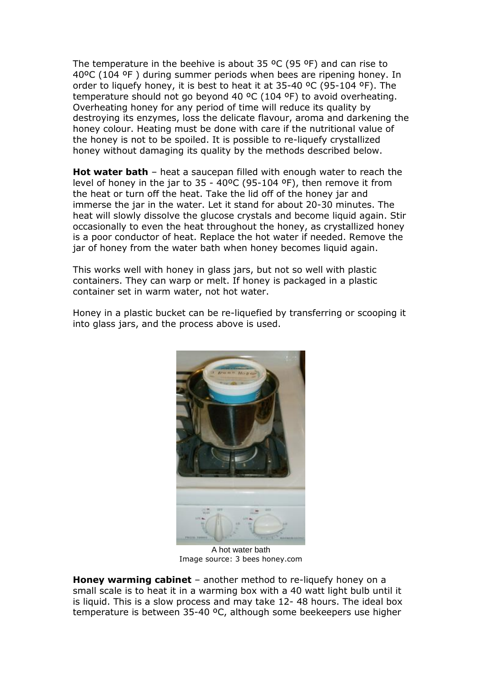The temperature in the beehive is about 35  $^{\circ}$ C (95  $^{\circ}$ F) and can rise to 40ºC (104 ºF ) during summer periods when bees are ripening honey. In order to liquefy honey, it is best to heat it at 35-40 ºC (95-104 ºF). The temperature should not go beyond 40 ºC (104 ºF) to avoid overheating. Overheating honey for any period of time will reduce its quality by destroying its enzymes, loss the delicate flavour, aroma and darkening the honey colour. Heating must be done with care if the nutritional value of the honey is not to be spoiled. It is possible to re-liquefy crystallized honey without damaging its quality by the methods described below.

**Hot water bath** – heat a saucepan filled with enough water to reach the level of honey in the jar to 35 - 40ºC (95-104 ºF), then remove it from the heat or turn off the heat. Take the lid off of the honey jar and immerse the jar in the water. Let it stand for about 20-30 minutes. The heat will slowly dissolve the glucose crystals and become liquid again. Stir occasionally to even the heat throughout the honey, as crystallized honey is a poor conductor of heat. Replace the hot water if needed. Remove the jar of honey from the water bath when honey becomes liquid again.

This works well with honey in glass jars, but not so well with plastic containers. They can warp or melt. If honey is packaged in a plastic container set in warm water, not hot water.

Honey in a plastic bucket can be re-liquefied by transferring or scooping it into glass jars, and the process above is used.



A hot water bath Image source: 3 bees honey.com

**Honey warming cabinet** – another method to re-liquefy honey on a small scale is to heat it in a warming box with a 40 watt light bulb until it is liquid. This is a slow process and may take 12- 48 hours. The ideal box temperature is between 35-40 ºC, although some beekeepers use higher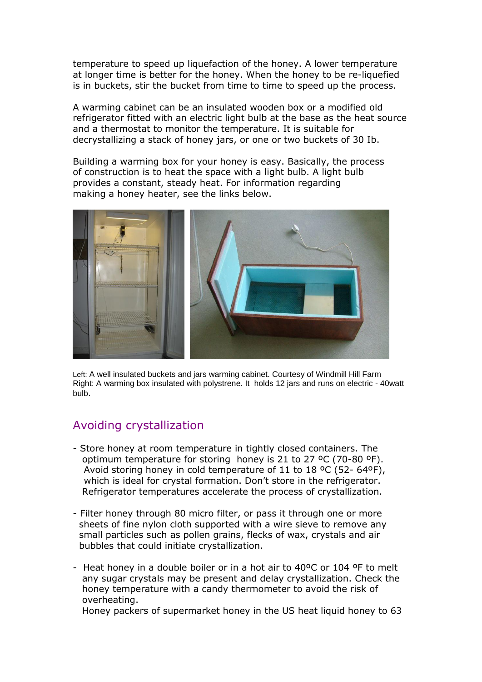temperature to speed up liquefaction of the honey. A lower temperature at longer time is better for the honey. When the honey to be re-liquefied is in buckets, stir the bucket from time to time to speed up the process.

A warming cabinet can be an insulated wooden box or a modified old refrigerator fitted with an electric light bulb at the base as the heat source and a thermostat to monitor the temperature. It is suitable for decrystallizing a stack of honey jars, or one or two buckets of 30 Ib.

Building a warming box for your honey is easy. Basically, the process of construction is to heat the space with a light bulb. A light bulb provides a constant, steady heat. For information regarding making a honey heater, see the links below.



Left: A well insulated buckets and jars warming cabinet. Courtesy of Windmill Hill Farm Right: A warming box insulated with polystrene. It holds 12 jars and runs on electric - 40watt bulb.

## Avoiding crystallization

- Store honey at room temperature in tightly closed containers. The optimum temperature for storing honey is 21 to 27 ºC (70-80 ºF). Avoid storing honey in cold temperature of 11 to 18 ºC (52- 64ºF), which is ideal for crystal formation. Don't store in the refrigerator. Refrigerator temperatures accelerate the process of crystallization.
- Filter honey through 80 micro filter, or pass it through one or more sheets of fine nylon cloth supported with a wire sieve to remove any small particles such as pollen grains, flecks of wax, crystals and air bubbles that could initiate crystallization.
- Heat honey in a double boiler or in a hot air to 40ºC or 104 ºF to melt any sugar crystals may be present and delay crystallization. Check the honey temperature with a candy thermometer to avoid the risk of overheating.

Honey packers of supermarket honey in the US heat liquid honey to 63